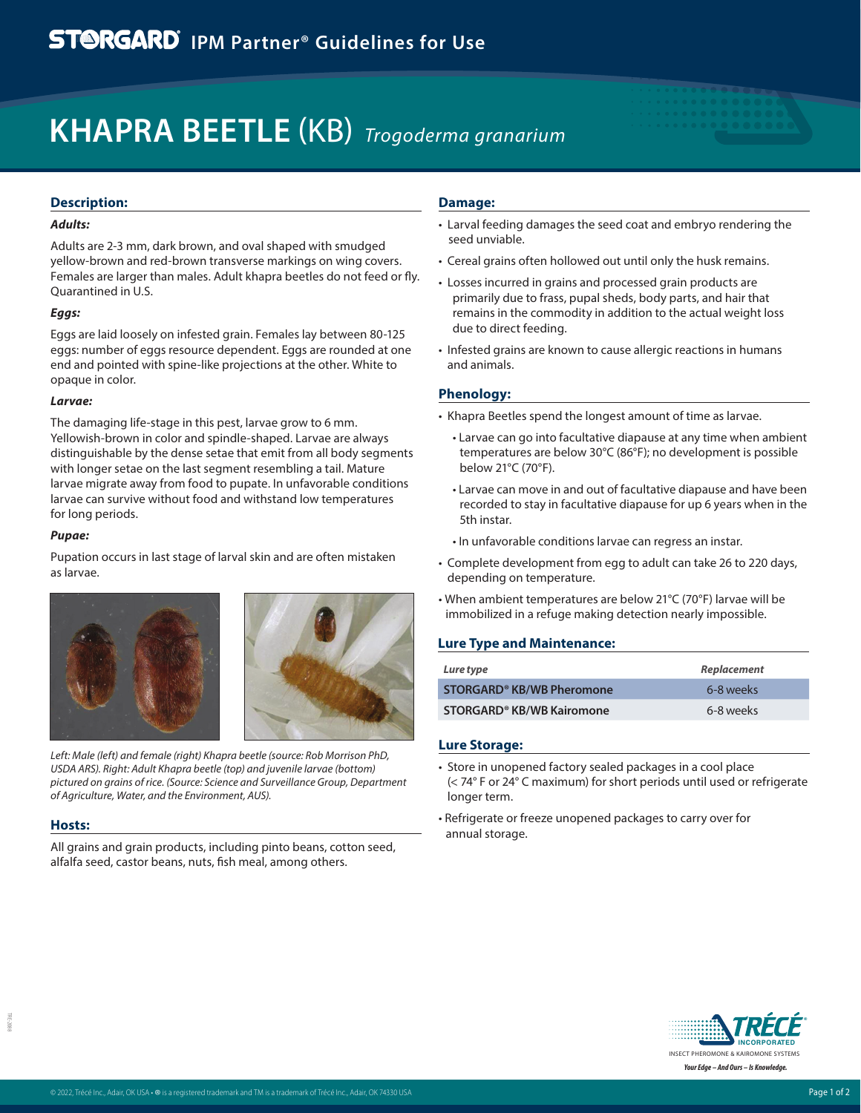# **KHAPRA BEETLE** (KB) *Trogoderma granarium*

# **Description:**

# *Adults:*

Adults are 2-3 mm, dark brown, and oval shaped with smudged yellow-brown and red-brown transverse markings on wing covers. Females are larger than males. Adult khapra beetles do not feed or fly. Quarantined in U.S.

#### *Eggs:*

Eggs are laid loosely on infested grain. Females lay between 80-125 eggs: number of eggs resource dependent. Eggs are rounded at one end and pointed with spine-like projections at the other. White to opaque in color.

#### *Larvae:*

The damaging life-stage in this pest, larvae grow to 6 mm. Yellowish-brown in color and spindle-shaped. Larvae are always distinguishable by the dense setae that emit from all body segments with longer setae on the last segment resembling a tail. Mature larvae migrate away from food to pupate. In unfavorable conditions larvae can survive without food and withstand low temperatures for long periods.

#### *Pupae:*

Pupation occurs in last stage of larval skin and are often mistaken as larvae.





*Left: Male (left) and female (right) Khapra beetle (source: Rob Morrison PhD, USDA ARS). Right: Adult Khapra beetle (top) and juvenile larvae (bottom) pictured on grains of rice. (Source: Science and Surveillance Group, Department of Agriculture, Water, and the Environment, AUS).*

## **Hosts:**

TRE-2088

Htt-2084

All grains and grain products, including pinto beans, cotton seed, alfalfa seed, castor beans, nuts, fish meal, among others.

# **Damage:**

- Larval feeding damages the seed coat and embryo rendering the seed unviable.
- Cereal grains often hollowed out until only the husk remains.
- Losses incurred in grains and processed grain products are primarily due to frass, pupal sheds, body parts, and hair that remains in the commodity in addition to the actual weight loss due to direct feeding.
- Infested grains are known to cause allergic reactions in humans and animals.

# **Phenology:**

- Khapra Beetles spend the longest amount of time as larvae.
- Larvae can go into facultative diapause at any time when ambient temperatures are below 30°C (86°F); no development is possible below 21°C (70°F).
- Larvae can move in and out of facultative diapause and have been recorded to stay in facultative diapause for up 6 years when in the 5th instar.
- In unfavorable conditions larvae can regress an instar.
- Complete development from egg to adult can take 26 to 220 days, depending on temperature.
- When ambient temperatures are below 21°C (70°F) larvae will be immobilized in a refuge making detection nearly impossible.

## **Lure Type and Maintenance:**

| Lure type                             | Replacement |
|---------------------------------------|-------------|
| STORGARD <sup>®</sup> KB/WB Pheromone | 6-8 weeks   |
| STORGARD <sup>®</sup> KB/WB Kairomone | 6-8 weeks   |

## **Lure Storage:**

- Store in unopened factory sealed packages in a cool place (< 74° F or 24° C maximum) for short periods until used or refrigerate longer term.
- Refrigerate or freeze unopened packages to carry over for annual storage.